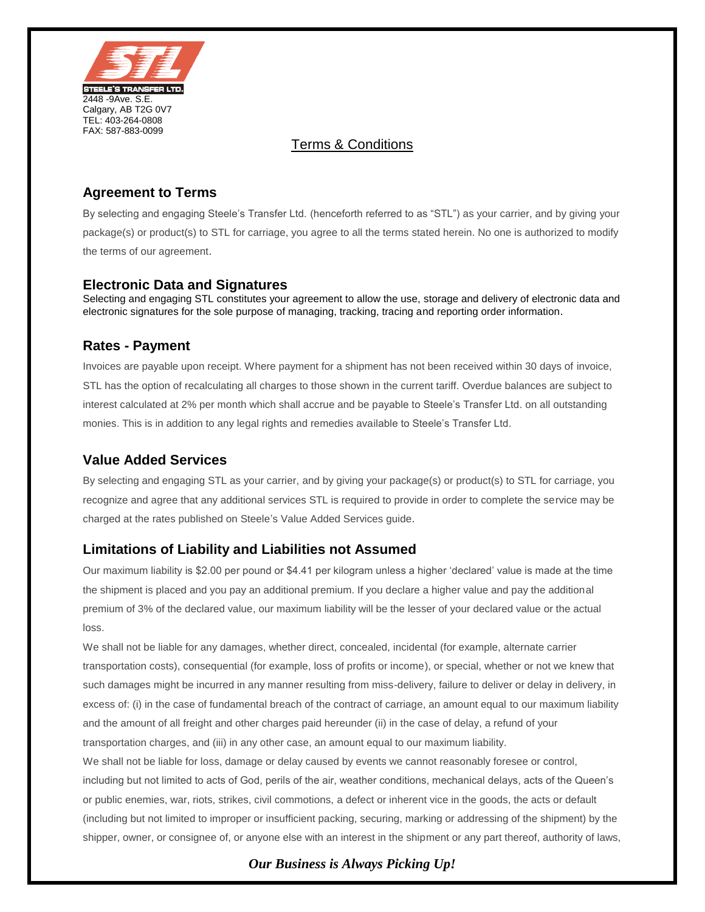

### Terms & Conditions

# **Agreement to Terms**

By selecting and engaging Steele's Transfer Ltd. (henceforth referred to as "STL") as your carrier, and by giving your package(s) or product(s) to STL for carriage, you agree to all the terms stated herein. No one is authorized to modify the terms of our agreement.

### **Electronic Data and Signatures**

Selecting and engaging STL constitutes your agreement to allow the use, storage and delivery of electronic data and electronic signatures for the sole purpose of managing, tracking, tracing and reporting order information.

### **Rates - Payment**

Invoices are payable upon receipt. Where payment for a shipment has not been received within 30 days of invoice, STL has the option of recalculating all charges to those shown in the current tariff. Overdue balances are subject to interest calculated at 2% per month which shall accrue and be payable to Steele's Transfer Ltd. on all outstanding monies. This is in addition to any legal rights and remedies available to Steele's Transfer Ltd.

## **Value Added Services**

By selecting and engaging STL as your carrier, and by giving your package(s) or product(s) to STL for carriage, you recognize and agree that any additional services STL is required to provide in order to complete the service may be charged at the rates published on Steele's Value Added Services guide.

### **Limitations of Liability and Liabilities not Assumed**

Our maximum liability is \$2.00 per pound or \$4.41 per kilogram unless a higher 'declared' value is made at the time the shipment is placed and you pay an additional premium. If you declare a higher value and pay the additional premium of 3% of the declared value, our maximum liability will be the lesser of your declared value or the actual loss.

We shall not be liable for any damages, whether direct, concealed, incidental (for example, alternate carrier transportation costs), consequential (for example, loss of profits or income), or special, whether or not we knew that such damages might be incurred in any manner resulting from miss-delivery, failure to deliver or delay in delivery, in excess of: (i) in the case of fundamental breach of the contract of carriage, an amount equal to our maximum liability and the amount of all freight and other charges paid hereunder (ii) in the case of delay, a refund of your transportation charges, and (iii) in any other case, an amount equal to our maximum liability. We shall not be liable for loss, damage or delay caused by events we cannot reasonably foresee or control, including but not limited to acts of God, perils of the air, weather conditions, mechanical delays, acts of the Queen's or public enemies, war, riots, strikes, civil commotions, a defect or inherent vice in the goods, the acts or default (including but not limited to improper or insufficient packing, securing, marking or addressing of the shipment) by the shipper, owner, or consignee of, or anyone else with an interest in the shipment or any part thereof, authority of laws,

# *Our Business is Always Picking Up!*